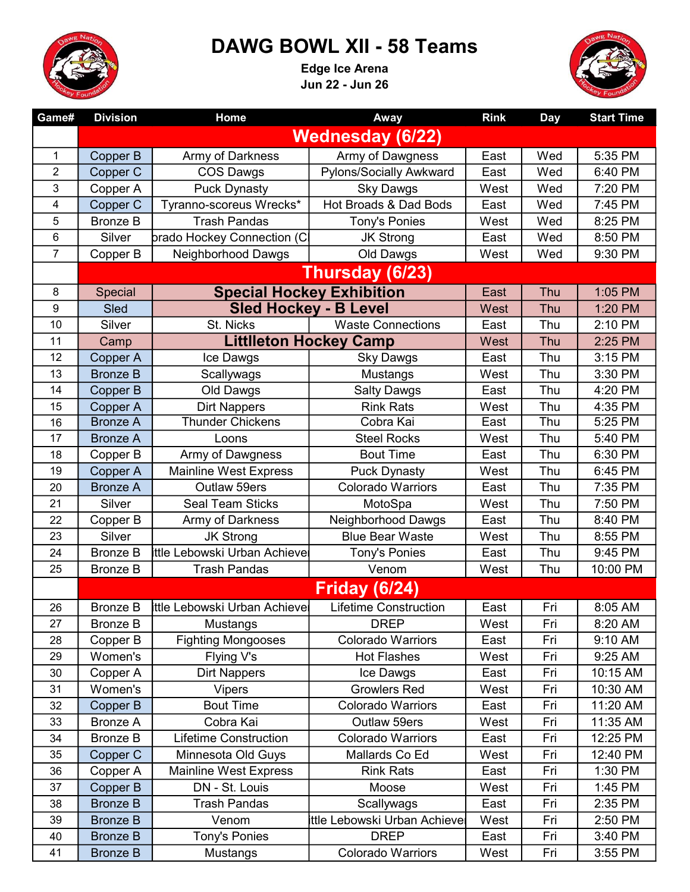

## DAWG BOWL XII - 58 Teams

Edge Ice Arena Jun 22 - Jun 26



| Game#          | <b>Division</b>         | Home                                 | Away                             | <b>Rink</b> | <b>Day</b> | <b>Start Time</b> |  |  |
|----------------|-------------------------|--------------------------------------|----------------------------------|-------------|------------|-------------------|--|--|
|                | <b>Wednesday (6/22)</b> |                                      |                                  |             |            |                   |  |  |
| 1              | Copper B                | Army of Darkness                     | Army of Dawgness                 | East        | Wed        | 5:35 PM           |  |  |
| $\overline{2}$ | Copper C                | <b>COS Dawgs</b>                     | Pylons/Socially Awkward          | East        | Wed        | 6:40 PM           |  |  |
| 3              | Copper A                | <b>Puck Dynasty</b>                  | <b>Sky Dawgs</b>                 | West        | Wed        | 7:20 PM           |  |  |
| 4              | Copper C                | Tyranno-scoreus Wrecks*              | Hot Broads & Dad Bods            | East        | Wed        | 7:45 PM           |  |  |
| 5              | <b>Bronze B</b>         | <b>Trash Pandas</b>                  | Tony's Ponies                    | West        | Wed        | 8:25 PM           |  |  |
| 6              | Silver                  | brado Hockey Connection (C           | <b>JK Strong</b>                 | East        | Wed        | 8:50 PM           |  |  |
| $\overline{7}$ | Copper B                | Neighborhood Dawgs                   | Old Dawgs                        | West        | Wed        | 9:30 PM           |  |  |
|                | Thursday (6/23)         |                                      |                                  |             |            |                   |  |  |
| 8              | <b>Special</b>          |                                      | <b>Special Hockey Exhibition</b> | East        | Thu        | 1:05 PM           |  |  |
| 9              | Sled                    |                                      | <b>Sled Hockey - B Level</b>     | West        | Thu        | 1:20 PM           |  |  |
| 10             | Silver                  | St. Nicks                            | <b>Waste Connections</b>         | East        | Thu        | 2:10 PM           |  |  |
| 11             | Camp                    |                                      | <b>Littlleton Hockey Camp</b>    | West        | Thu        | 2:25 PM           |  |  |
| 12             | Copper A                | Ice Dawgs                            | <b>Sky Dawgs</b>                 | East        | Thu        | 3:15 PM           |  |  |
| 13             | <b>Bronze B</b>         | Scallywags                           | Mustangs                         | West        | Thu        | 3:30 PM           |  |  |
| 14             | Copper B                | Old Dawgs                            | <b>Salty Dawgs</b>               | East        | Thu        | 4:20 PM           |  |  |
| 15             | Copper A                | <b>Dirt Nappers</b>                  | <b>Rink Rats</b>                 | West        | Thu        | 4:35 PM           |  |  |
| 16             | <b>Bronze A</b>         | <b>Thunder Chickens</b>              | Cobra Kai                        | East        | Thu        | 5:25 PM           |  |  |
| 17             | <b>Bronze A</b>         | Loons                                | <b>Steel Rocks</b>               | West        | Thu        | 5:40 PM           |  |  |
| 18             | Copper B                | Army of Dawgness                     | <b>Bout Time</b>                 | East        | Thu        | 6:30 PM           |  |  |
| 19             | Copper A                | <b>Mainline West Express</b>         | <b>Puck Dynasty</b>              | West        | Thu        | 6:45 PM           |  |  |
| 20             | <b>Bronze A</b>         | Outlaw 59ers                         | <b>Colorado Warriors</b>         | East        | Thu        | 7:35 PM           |  |  |
| 21             | Silver                  | <b>Seal Team Sticks</b>              | MotoSpa                          | West        | Thu        | 7:50 PM           |  |  |
| 22             | Copper B                | Army of Darkness                     | Neighborhood Dawgs               | East        | Thu        | 8:40 PM           |  |  |
| 23             | Silver                  | <b>JK Strong</b>                     | <b>Blue Bear Waste</b>           | West        | Thu        | 8:55 PM           |  |  |
| 24             | <b>Bronze B</b>         | <b>Ittle Lebowski Urban Achieve</b>  | <b>Tony's Ponies</b>             | East        | Thu        | 9:45 PM           |  |  |
| 25             | <b>Bronze B</b>         | <b>Trash Pandas</b>                  | Venom                            | West        | Thu        | 10:00 PM          |  |  |
|                | <b>Friday (6/24)</b>    |                                      |                                  |             |            |                   |  |  |
| 26             | <b>Bronze B</b>         | <b>Ittle Lebowski Urban Achievel</b> | <b>Lifetime Construction</b>     | East        | Fri        | 8:05 AM           |  |  |
| 27             | <b>Bronze B</b>         | Mustangs                             | <b>DREP</b>                      | West        | Fri        | 8:20 AM           |  |  |
| 28             | Copper B                | <b>Fighting Mongooses</b>            | <b>Colorado Warriors</b>         | East        | Fri        | 9:10 AM           |  |  |
| 29             | Women's                 | Flying V's                           | <b>Hot Flashes</b>               | West        | Fri        | 9:25 AM           |  |  |
| 30             | Copper A                | <b>Dirt Nappers</b>                  | Ice Dawgs                        | East        | Fri        | 10:15 AM          |  |  |
| 31             | Women's                 | <b>Vipers</b>                        | <b>Growlers Red</b>              | West        | Fri        | 10:30 AM          |  |  |
| 32             | Copper B                | <b>Bout Time</b>                     | <b>Colorado Warriors</b>         | East        | Fri        | 11:20 AM          |  |  |
| 33             | <b>Bronze A</b>         | Cobra Kai                            | Outlaw 59ers                     | West        | Fri        | 11:35 AM          |  |  |
| 34             | <b>Bronze B</b>         | <b>Lifetime Construction</b>         | Colorado Warriors                | East        | Fri        | 12:25 PM          |  |  |
| 35             | Copper C                | Minnesota Old Guys                   | Mallards Co Ed                   | West        | Fri        | 12:40 PM          |  |  |
| 36             | Copper A                | <b>Mainline West Express</b>         | <b>Rink Rats</b>                 | East        | Fri        | 1:30 PM           |  |  |
| 37             | Copper B                | DN - St. Louis                       | Moose                            | West        | Fri        | 1:45 PM           |  |  |
| 38             | <b>Bronze B</b>         | <b>Trash Pandas</b>                  | Scallywags                       | East        | Fri        | 2:35 PM           |  |  |
| 39             | <b>Bronze B</b>         | Venom                                | Ittle Lebowski Urban Achieve     | West        | Fri        | 2:50 PM           |  |  |
| 40             | <b>Bronze B</b>         | Tony's Ponies                        | <b>DREP</b>                      | East        | Fri        | 3:40 PM           |  |  |
| 41             | <b>Bronze B</b>         | Mustangs                             | Colorado Warriors                | West        | Fri        | 3:55 PM           |  |  |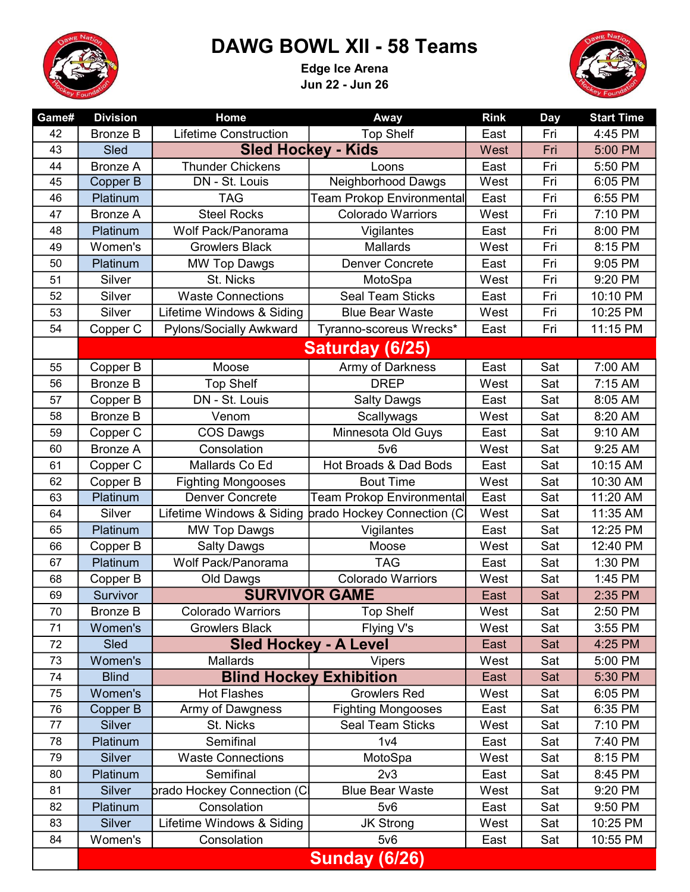

## DAWG BOWL XII - 58 Teams

Edge Ice Arena Jun 22 - Jun 26



| Game#   | <b>Division</b>      | Home                         | Away                             | <b>Rink</b> | <b>Day</b> | <b>Start Time</b> |  |
|---------|----------------------|------------------------------|----------------------------------|-------------|------------|-------------------|--|
| 42      | <b>Bronze B</b>      | <b>Lifetime Construction</b> | <b>Top Shelf</b>                 | East        | Fri        | 4:45 PM           |  |
| 43      | Sled                 | <b>Sled Hockey - Kids</b>    |                                  | West        | Fri        | 5:00 PM           |  |
| 44      | <b>Bronze A</b>      | <b>Thunder Chickens</b>      | Loons                            | East        | Fri        | 5:50 PM           |  |
| 45      | Copper B             | DN - St. Louis               | <b>Neighborhood Dawgs</b>        | West        | Fri        | 6:05 PM           |  |
| 46      | Platinum             | <b>TAG</b>                   | Team Prokop Environmental        | East        | Fri        | 6:55 PM           |  |
| 47      | <b>Bronze A</b>      | <b>Steel Rocks</b>           | <b>Colorado Warriors</b>         | West        | Fri        | 7:10 PM           |  |
| 48      | Platinum             | Wolf Pack/Panorama           | Vigilantes                       | East        | Fri        | 8:00 PM           |  |
| 49      | Women's              | <b>Growlers Black</b>        | <b>Mallards</b>                  | West        | Fri        | 8:15 PM           |  |
| 50      | Platinum             | <b>MW Top Dawgs</b>          | <b>Denver Concrete</b>           | East        | Fri        | 9:05 PM           |  |
| 51      | Silver               | St. Nicks                    | MotoSpa                          | West        | Fri        | 9:20 PM           |  |
| 52      | Silver               | <b>Waste Connections</b>     | <b>Seal Team Sticks</b>          | East        | Fri        | 10:10 PM          |  |
| 53      | Silver               | Lifetime Windows & Siding    | <b>Blue Bear Waste</b>           | West        | Fri        | 10:25 PM          |  |
| 54      | Copper C             | Pylons/Socially Awkward      | Tyranno-scoreus Wrecks*          | East        | Fri        | 11:15 PM          |  |
|         | Saturday (6/25)      |                              |                                  |             |            |                   |  |
| 55      | Copper B             | Moose                        | Army of Darkness                 | East        | Sat        | 7:00 AM           |  |
| 56      | <b>Bronze B</b>      | <b>Top Shelf</b>             | <b>DREP</b>                      | West        | Sat        | 7:15 AM           |  |
| 57      | Copper B             | DN - St. Louis               | <b>Salty Dawgs</b>               | East        | Sat        | 8:05 AM           |  |
| 58      | <b>Bronze B</b>      | Venom                        | Scallywags                       | West        | Sat        | 8:20 AM           |  |
| 59      | Copper C             | <b>COS Dawgs</b>             | Minnesota Old Guys               | East        | Sat        | 9:10 AM           |  |
| 60      | <b>Bronze A</b>      | Consolation                  | $5\nu 6$                         | West        | Sat        | 9:25 AM           |  |
| 61      | Copper C             | Mallards Co Ed               | Hot Broads & Dad Bods            | East        | Sat        | 10:15 AM          |  |
| 62      | Copper B             | <b>Fighting Mongooses</b>    | <b>Bout Time</b>                 | West        | Sat        | 10:30 AM          |  |
| 63      | Platinum             | <b>Denver Concrete</b>       | <b>Team Prokop Environmental</b> | East        | Sat        | 11:20 AM          |  |
| 64      | Silver               | Lifetime Windows & Siding    | brado Hockey Connection (C       | West        | Sat        | 11:35 AM          |  |
| 65      | Platinum             | <b>MW Top Dawgs</b>          | Vigilantes                       | East        | Sat        | 12:25 PM          |  |
| 66      | Copper B             | <b>Salty Dawgs</b>           | Moose                            | West        | Sat        | 12:40 PM          |  |
| 67      | Platinum             | Wolf Pack/Panorama           | <b>TAG</b>                       | East        | Sat        | 1:30 PM           |  |
| 68      | Copper B             | Old Dawgs                    | <b>Colorado Warriors</b>         | West        | Sat        | 1:45 PM           |  |
| 69      | Survivor             | <b>SURVIVOR GAME</b>         |                                  | East        | Sat        | 2:35 PM           |  |
| $70\,$  | <b>Bronze B</b>      | Colorado Warriors            | <b>Top Shelf</b>                 | West        | Sat        | 2:50 PM           |  |
| 71      | Women's              | <b>Growlers Black</b>        | Flying V's                       | West        | Sat        | 3:55 PM           |  |
| 72      | Sled                 |                              | <b>Sled Hockey - A Level</b>     | East        | Sat        | 4:25 PM           |  |
| 73      | Women's              | <b>Mallards</b>              | <b>Vipers</b>                    | West        | Sat        | 5:00 PM           |  |
| 74      | <b>Blind</b>         |                              | <b>Blind Hockey Exhibition</b>   | East        | Sat        | 5:30 PM           |  |
| 75      | Women's              | <b>Hot Flashes</b>           | <b>Growlers Red</b>              | West        | Sat        | 6:05 PM           |  |
| 76      | Copper B             | Army of Dawgness             | <b>Fighting Mongooses</b>        | East        | Sat        | 6:35 PM           |  |
| $77 \,$ | <b>Silver</b>        | St. Nicks                    | <b>Seal Team Sticks</b>          | West        | Sat        | 7:10 PM           |  |
| 78      | Platinum             | Semifinal                    | 1 <sub>v4</sub>                  | East        | Sat        | 7:40 PM           |  |
| 79      | <b>Silver</b>        | <b>Waste Connections</b>     | MotoSpa                          | West        | Sat        | 8:15 PM           |  |
| 80      | Platinum             | Semifinal                    | 2 <sub>v</sub> 3                 | East        | Sat        | 8:45 PM           |  |
| 81      | <b>Silver</b>        | þrado Hockey Connection (Cl  | <b>Blue Bear Waste</b>           | West        | Sat        | 9:20 PM           |  |
| 82      | Platinum             | Consolation                  | $5\nu 6$                         | East        | Sat        | 9:50 PM           |  |
| 83      | Silver               | Lifetime Windows & Siding    | <b>JK Strong</b>                 | West        | Sat        | 10:25 PM          |  |
| 84      | Women's              | Consolation                  | 5v6                              | East        | Sat        | 10:55 PM          |  |
|         | <b>Sunday (6/26)</b> |                              |                                  |             |            |                   |  |